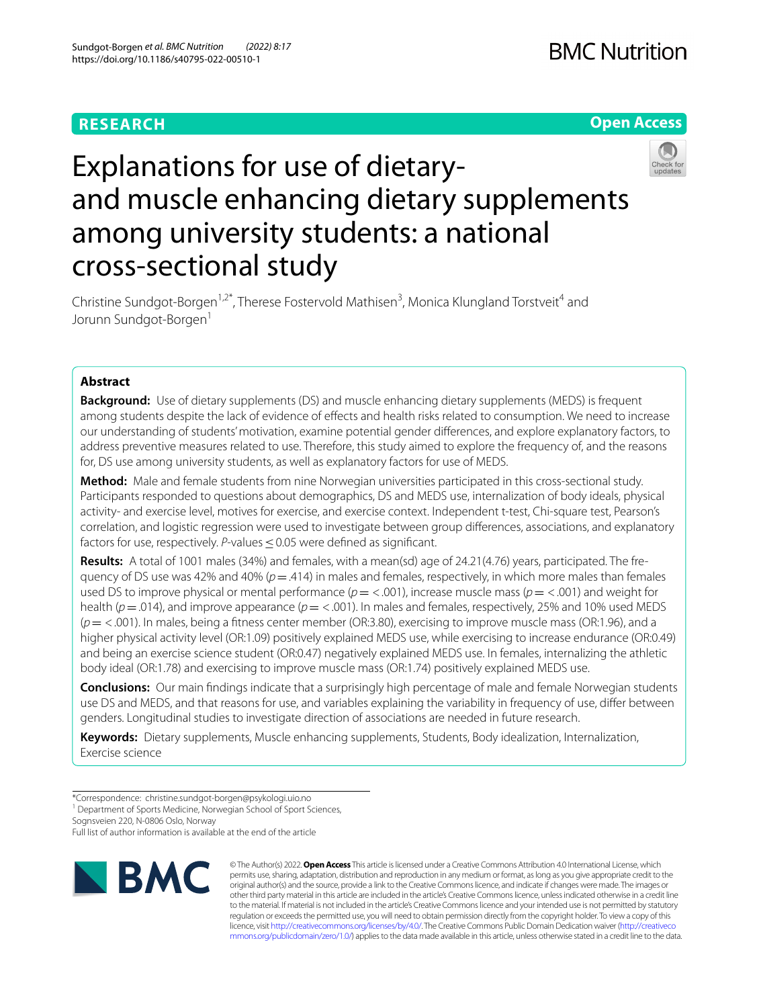### **RESEARCH**

### **Open Access**



# Explanations for use of dietaryand muscle enhancing dietary supplements among university students: a national cross‑sectional study

Christine Sundgot-Borgen<sup>1,2\*</sup>, Therese Fostervold Mathisen<sup>3</sup>, Monica Klungland Torstveit<sup>4</sup> and Jorunn Sundgot-Borgen<sup>1</sup>

### **Abstract**

**Background:** Use of dietary supplements (DS) and muscle enhancing dietary supplements (MEDS) is frequent among students despite the lack of evidence of efects and health risks related to consumption. We need to increase our understanding of students' motivation, examine potential gender diferences, and explore explanatory factors, to address preventive measures related to use. Therefore, this study aimed to explore the frequency of, and the reasons for, DS use among university students, as well as explanatory factors for use of MEDS.

**Method:** Male and female students from nine Norwegian universities participated in this cross-sectional study. Participants responded to questions about demographics, DS and MEDS use, internalization of body ideals, physical activity- and exercise level, motives for exercise, and exercise context. Independent t-test, Chi-square test, Pearson's correlation, and logistic regression were used to investigate between group diferences, associations, and explanatory factors for use, respectively. *P*-values ≤0.05 were defined as significant.

**Results:** A total of 1001 males (34%) and females, with a mean(sd) age of 24.21(4.76) years, participated. The fre‑ quency of DS use was 42% and 40% ( $p = .414$ ) in males and females, respectively, in which more males than females used DS to improve physical or mental performance (*p*= <.001), increase muscle mass (*p*= <.001) and weight for health (*p*=.014), and improve appearance (*p*= <.001). In males and females, respectively, 25% and 10% used MEDS (*p*= <.001). In males, being a ftness center member (OR:3.80), exercising to improve muscle mass (OR:1.96), and a higher physical activity level (OR:1.09) positively explained MEDS use, while exercising to increase endurance (OR:0.49) and being an exercise science student (OR:0.47) negatively explained MEDS use. In females, internalizing the athletic body ideal (OR:1.78) and exercising to improve muscle mass (OR:1.74) positively explained MEDS use.

**Conclusions:** Our main fndings indicate that a surprisingly high percentage of male and female Norwegian students use DS and MEDS, and that reasons for use, and variables explaining the variability in frequency of use, difer between genders. Longitudinal studies to investigate direction of associations are needed in future research.

**Keywords:** Dietary supplements, Muscle enhancing supplements, Students, Body idealization, Internalization, Exercise science

Sognsveien 220, N‑0806 Oslo, Norway

Full list of author information is available at the end of the article



© The Author(s) 2022. **Open Access** This article is licensed under a Creative Commons Attribution 4.0 International License, which permits use, sharing, adaptation, distribution and reproduction in any medium or format, as long as you give appropriate credit to the original author(s) and the source, provide a link to the Creative Commons licence, and indicate if changes were made. The images or other third party material in this article are included in the article's Creative Commons licence, unless indicated otherwise in a credit line to the material. If material is not included in the article's Creative Commons licence and your intended use is not permitted by statutory regulation or exceeds the permitted use, you will need to obtain permission directly from the copyright holder. To view a copy of this licence, visit [http://creativecommons.org/licenses/by/4.0/.](http://creativecommons.org/licenses/by/4.0/) The Creative Commons Public Domain Dedication waiver ([http://creativeco](http://creativecommons.org/publicdomain/zero/1.0/) [mmons.org/publicdomain/zero/1.0/](http://creativecommons.org/publicdomain/zero/1.0/)) applies to the data made available in this article, unless otherwise stated in a credit line to the data.

<sup>\*</sup>Correspondence: christine.sundgot-borgen@psykologi.uio.no

<sup>&</sup>lt;sup>1</sup> Department of Sports Medicine, Norwegian School of Sport Sciences,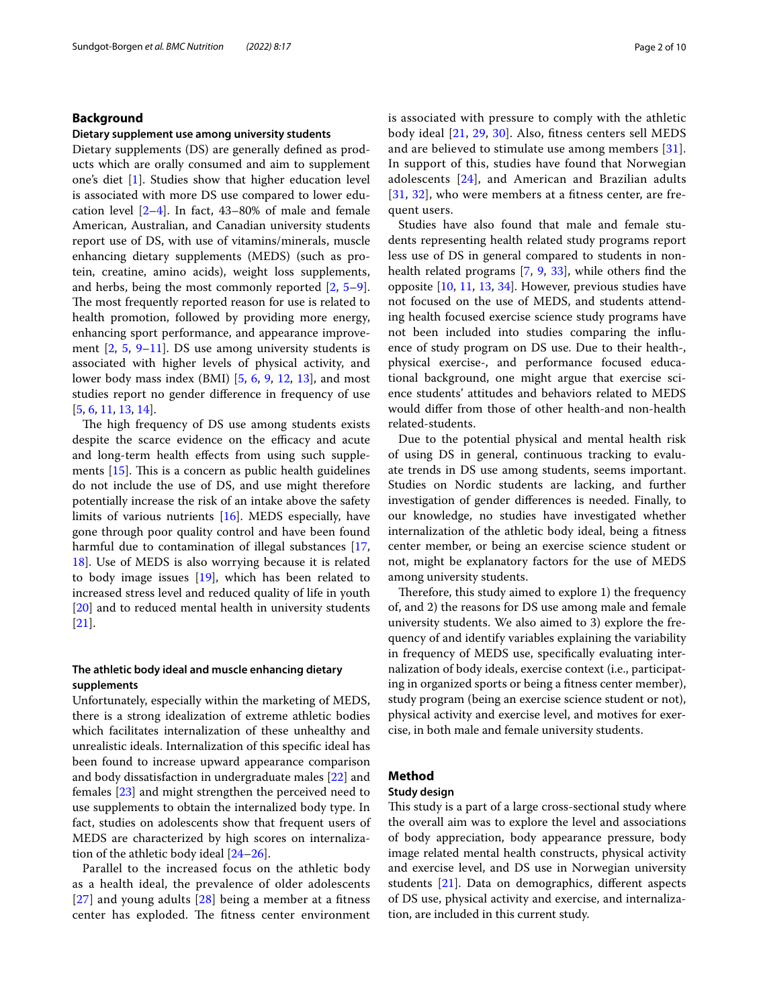### **Background**

#### **Dietary supplement use among university students**

Dietary supplements (DS) are generally defned as products which are orally consumed and aim to supplement one's diet [[1\]](#page-8-0). Studies show that higher education level is associated with more DS use compared to lower education level  $[2-4]$  $[2-4]$ . In fact, 43–80% of male and female American, Australian, and Canadian university students report use of DS, with use of vitamins/minerals, muscle enhancing dietary supplements (MEDS) (such as protein, creatine, amino acids), weight loss supplements, and herbs, being the most commonly reported [[2,](#page-8-1) [5](#page-8-3)[–9](#page-8-4)]. The most frequently reported reason for use is related to health promotion, followed by providing more energy, enhancing sport performance, and appearance improvement  $[2, 5, 9-11]$  $[2, 5, 9-11]$  $[2, 5, 9-11]$  $[2, 5, 9-11]$  $[2, 5, 9-11]$  $[2, 5, 9-11]$  $[2, 5, 9-11]$ . DS use among university students is associated with higher levels of physical activity, and lower body mass index (BMI) [[5,](#page-8-3) [6](#page-8-6), [9](#page-8-4), [12,](#page-8-7) [13](#page-8-8)], and most studies report no gender diference in frequency of use [[5,](#page-8-3) [6](#page-8-6), [11,](#page-8-5) [13](#page-8-8), [14](#page-8-9)].

The high frequency of DS use among students exists despite the scarce evidence on the efficacy and acute and long-term health efects from using such supplements  $[15]$  $[15]$ . This is a concern as public health guidelines do not include the use of DS, and use might therefore potentially increase the risk of an intake above the safety limits of various nutrients [\[16](#page-8-11)]. MEDS especially, have gone through poor quality control and have been found harmful due to contamination of illegal substances [\[17](#page-8-12), [18\]](#page-8-13). Use of MEDS is also worrying because it is related to body image issues [\[19](#page-9-0)], which has been related to increased stress level and reduced quality of life in youth [[20\]](#page-9-1) and to reduced mental health in university students [[21\]](#page-9-2).

### **The athletic body ideal and muscle enhancing dietary supplements**

Unfortunately, especially within the marketing of MEDS, there is a strong idealization of extreme athletic bodies which facilitates internalization of these unhealthy and unrealistic ideals. Internalization of this specifc ideal has been found to increase upward appearance comparison and body dissatisfaction in undergraduate males [[22\]](#page-9-3) and females [[23](#page-9-4)] and might strengthen the perceived need to use supplements to obtain the internalized body type. In fact, studies on adolescents show that frequent users of MEDS are characterized by high scores on internalization of the athletic body ideal [\[24](#page-9-5)[–26](#page-9-6)].

Parallel to the increased focus on the athletic body as a health ideal, the prevalence of older adolescents [[27](#page-9-7)] and young adults [\[28](#page-9-8)] being a member at a ftness center has exploded. The fitness center environment is associated with pressure to comply with the athletic body ideal [\[21,](#page-9-2) [29](#page-9-9), [30\]](#page-9-10). Also, ftness centers sell MEDS and are believed to stimulate use among members [[31\]](#page-9-11). In support of this, studies have found that Norwegian adolescents [[24\]](#page-9-5), and American and Brazilian adults [[31](#page-9-11), [32\]](#page-9-12), who were members at a fitness center, are frequent users.

Studies have also found that male and female students representing health related study programs report less use of DS in general compared to students in nonhealth related programs [\[7](#page-8-14), [9,](#page-8-4) [33](#page-9-13)], while others fnd the opposite [[10,](#page-8-15) [11,](#page-8-5) [13,](#page-8-8) [34\]](#page-9-14). However, previous studies have not focused on the use of MEDS, and students attending health focused exercise science study programs have not been included into studies comparing the infuence of study program on DS use. Due to their health-, physical exercise-, and performance focused educational background, one might argue that exercise science students' attitudes and behaviors related to MEDS would difer from those of other health-and non-health related-students.

Due to the potential physical and mental health risk of using DS in general, continuous tracking to evaluate trends in DS use among students, seems important. Studies on Nordic students are lacking, and further investigation of gender diferences is needed. Finally, to our knowledge, no studies have investigated whether internalization of the athletic body ideal, being a ftness center member, or being an exercise science student or not, might be explanatory factors for the use of MEDS among university students.

Therefore, this study aimed to explore 1) the frequency of, and 2) the reasons for DS use among male and female university students. We also aimed to 3) explore the frequency of and identify variables explaining the variability in frequency of MEDS use, specifcally evaluating internalization of body ideals, exercise context (i.e., participating in organized sports or being a ftness center member), study program (being an exercise science student or not), physical activity and exercise level, and motives for exercise, in both male and female university students.

### **Method**

### **Study design**

This study is a part of a large cross-sectional study where the overall aim was to explore the level and associations of body appreciation, body appearance pressure, body image related mental health constructs, physical activity and exercise level, and DS use in Norwegian university students [[21\]](#page-9-2). Data on demographics, diferent aspects of DS use, physical activity and exercise, and internalization, are included in this current study.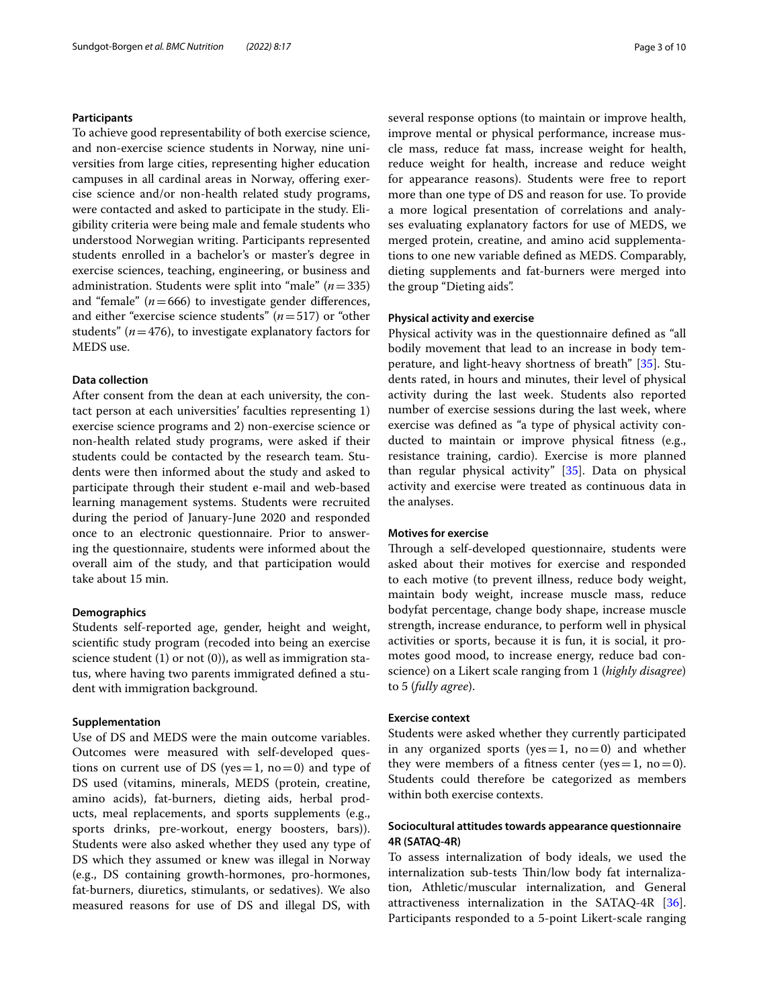### **Participants**

To achieve good representability of both exercise science, and non-exercise science students in Norway, nine universities from large cities, representing higher education campuses in all cardinal areas in Norway, ofering exercise science and/or non-health related study programs, were contacted and asked to participate in the study. Eligibility criteria were being male and female students who understood Norwegian writing. Participants represented students enrolled in a bachelor's or master's degree in exercise sciences, teaching, engineering, or business and administration. Students were split into "male" (*n*=335) and "female"  $(n=666)$  to investigate gender differences, and either "exercise science students" (*n*=517) or "other students" ( $n=476$ ), to investigate explanatory factors for MEDS use.

### **Data collection**

After consent from the dean at each university, the contact person at each universities' faculties representing 1) exercise science programs and 2) non-exercise science or non-health related study programs, were asked if their students could be contacted by the research team. Students were then informed about the study and asked to participate through their student e-mail and web-based learning management systems. Students were recruited during the period of January-June 2020 and responded once to an electronic questionnaire. Prior to answering the questionnaire, students were informed about the overall aim of the study, and that participation would take about 15 min.

### **Demographics**

Students self-reported age, gender, height and weight, scientifc study program (recoded into being an exercise science student (1) or not (0)), as well as immigration status, where having two parents immigrated defned a student with immigration background.

### **Supplementation**

Use of DS and MEDS were the main outcome variables. Outcomes were measured with self-developed questions on current use of DS (yes  $=$  1, no  $=$  0) and type of DS used (vitamins, minerals, MEDS (protein, creatine, amino acids), fat-burners, dieting aids, herbal products, meal replacements, and sports supplements (e.g., sports drinks, pre-workout, energy boosters, bars)). Students were also asked whether they used any type of DS which they assumed or knew was illegal in Norway (e.g., DS containing growth-hormones, pro-hormones, fat-burners, diuretics, stimulants, or sedatives). We also measured reasons for use of DS and illegal DS, with

several response options (to maintain or improve health, improve mental or physical performance, increase muscle mass, reduce fat mass, increase weight for health, reduce weight for health, increase and reduce weight for appearance reasons). Students were free to report more than one type of DS and reason for use. To provide a more logical presentation of correlations and analyses evaluating explanatory factors for use of MEDS, we merged protein, creatine, and amino acid supplementations to one new variable defned as MEDS. Comparably, dieting supplements and fat-burners were merged into the group "Dieting aids".

### **Physical activity and exercise**

Physical activity was in the questionnaire defned as "all bodily movement that lead to an increase in body temperature, and light-heavy shortness of breath" [[35\]](#page-9-15). Students rated, in hours and minutes, their level of physical activity during the last week. Students also reported number of exercise sessions during the last week, where exercise was defned as "a type of physical activity conducted to maintain or improve physical ftness (e.g., resistance training, cardio). Exercise is more planned than regular physical activity" [\[35\]](#page-9-15). Data on physical activity and exercise were treated as continuous data in the analyses.

### **Motives for exercise**

Through a self-developed questionnaire, students were asked about their motives for exercise and responded to each motive (to prevent illness, reduce body weight, maintain body weight, increase muscle mass, reduce bodyfat percentage, change body shape, increase muscle strength, increase endurance, to perform well in physical activities or sports, because it is fun, it is social, it promotes good mood, to increase energy, reduce bad conscience) on a Likert scale ranging from 1 (*highly disagree*) to 5 (*fully agree*).

### **Exercise context**

Students were asked whether they currently participated in any organized sports (yes = 1, no = 0) and whether they were members of a fitness center (yes = 1, no = 0). Students could therefore be categorized as members within both exercise contexts.

### **Sociocultural attitudes towards appearance questionnaire 4R (SATAQ‑4R)**

To assess internalization of body ideals, we used the internalization sub-tests Thin/low body fat internalization, Athletic/muscular internalization, and General attractiveness internalization in the SATAQ-4R [\[36](#page-9-16)]. Participants responded to a 5-point Likert-scale ranging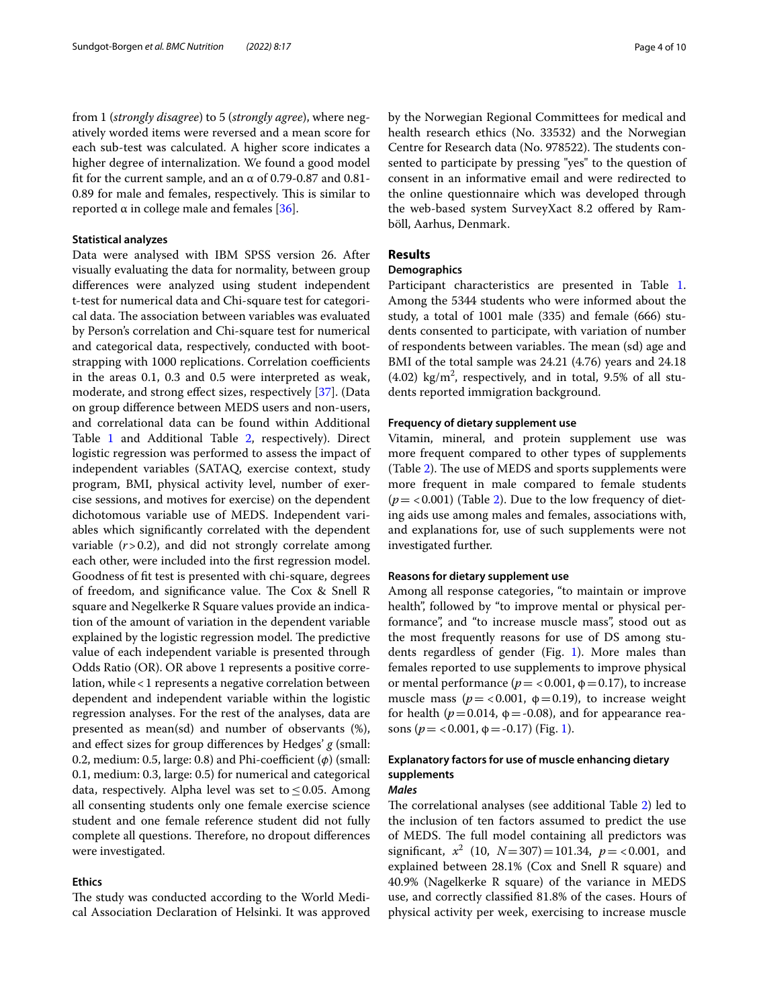from 1 (*strongly disagree*) to 5 (*strongly agree*), where negatively worded items were reversed and a mean score for each sub-test was calculated. A higher score indicates a higher degree of internalization. We found a good model fit for the current sample, and an  $\alpha$  of 0.79-0.87 and 0.81-0.89 for male and females, respectively. This is similar to reported  $α$  in college male and females [\[36](#page-9-16)].

#### **Statistical analyzes**

Data were analysed with IBM SPSS version 26. After visually evaluating the data for normality, between group diferences were analyzed using student independent t-test for numerical data and Chi-square test for categorical data. The association between variables was evaluated by Person's correlation and Chi-square test for numerical and categorical data, respectively, conducted with bootstrapping with 1000 replications. Correlation coefficients in the areas 0.1, 0.3 and 0.5 were interpreted as weak, moderate, and strong efect sizes, respectively [\[37\]](#page-9-17). (Data on group diference between MEDS users and non-users, and correlational data can be found within Additional Table [1](#page-8-16) and Additional Table [2,](#page-8-17) respectively). Direct logistic regression was performed to assess the impact of independent variables (SATAQ, exercise context, study program, BMI, physical activity level, number of exercise sessions, and motives for exercise) on the dependent dichotomous variable use of MEDS. Independent variables which signifcantly correlated with the dependent variable (*r*>0.2), and did not strongly correlate among each other, were included into the frst regression model. Goodness of ft test is presented with chi-square, degrees of freedom, and significance value. The Cox & Snell R square and Negelkerke R Square values provide an indication of the amount of variation in the dependent variable explained by the logistic regression model. The predictive value of each independent variable is presented through Odds Ratio (OR). OR above 1 represents a positive correlation, while<1 represents a negative correlation between dependent and independent variable within the logistic regression analyses. For the rest of the analyses, data are presented as mean(sd) and number of observants (%), and efect sizes for group diferences by Hedges' *g* (small: 0.2, medium: 0.5, large: 0.8) and Phi-coefficient (*φ*) (small: 0.1, medium: 0.3, large: 0.5) for numerical and categorical data, respectively. Alpha level was set to  $\leq$  0.05. Among all consenting students only one female exercise science student and one female reference student did not fully complete all questions. Therefore, no dropout differences were investigated.

### **Ethics**

The study was conducted according to the World Medical Association Declaration of Helsinki. It was approved by the Norwegian Regional Committees for medical and health research ethics (No. 33532) and the Norwegian Centre for Research data (No. 978522). The students consented to participate by pressing "yes" to the question of consent in an informative email and were redirected to the online questionnaire which was developed through the web-based system SurveyXact 8.2 offered by Ramböll, Aarhus, Denmark.

### **Results**

### **Demographics**

Participant characteristics are presented in Table [1](#page-4-0). Among the 5344 students who were informed about the study, a total of 1001 male (335) and female (666) students consented to participate, with variation of number of respondents between variables. The mean (sd) age and BMI of the total sample was 24.21 (4.76) years and 24.18  $(4.02)$  kg/m<sup>2</sup>, respectively, and in total, 9.5% of all students reported immigration background.

### **Frequency of dietary supplement use**

Vitamin, mineral, and protein supplement use was more frequent compared to other types of supplements (Table [2\)](#page-4-1). The use of MEDS and sports supplements were more frequent in male compared to female students  $(p = < 0.001)$  (Table [2](#page-4-1)). Due to the low frequency of dieting aids use among males and females, associations with, and explanations for, use of such supplements were not investigated further.

### **Reasons for dietary supplement use**

Among all response categories, "to maintain or improve health", followed by "to improve mental or physical performance", and "to increase muscle mass", stood out as the most frequently reasons for use of DS among students regardless of gender (Fig. [1](#page-5-0)). More males than females reported to use supplements to improve physical or mental performance ( $p = < 0.001$ ,  $\phi = 0.17$ ), to increase muscle mass ( $p = < 0.001$ ,  $\phi = 0.19$ ), to increase weight for health ( $p = 0.014$ ,  $\phi = -0.08$ ), and for appearance reasons ( $p = < 0.001$ ,  $\phi = -0.17$ ) (Fig. [1](#page-5-0)).

### **Explanatory factors for use of muscle enhancing dietary supplements** *Males*

The correlational analyses (see additional Table [2](#page-8-17)) led to the inclusion of ten factors assumed to predict the use of MEDS. The full model containing all predictors was significant,  $x^2$  (10,  $N=307$ )=101.34,  $p = <0.001$ , and explained between 28.1% (Cox and Snell R square) and 40.9% (Nagelkerke R square) of the variance in MEDS use, and correctly classifed 81.8% of the cases. Hours of physical activity per week, exercising to increase muscle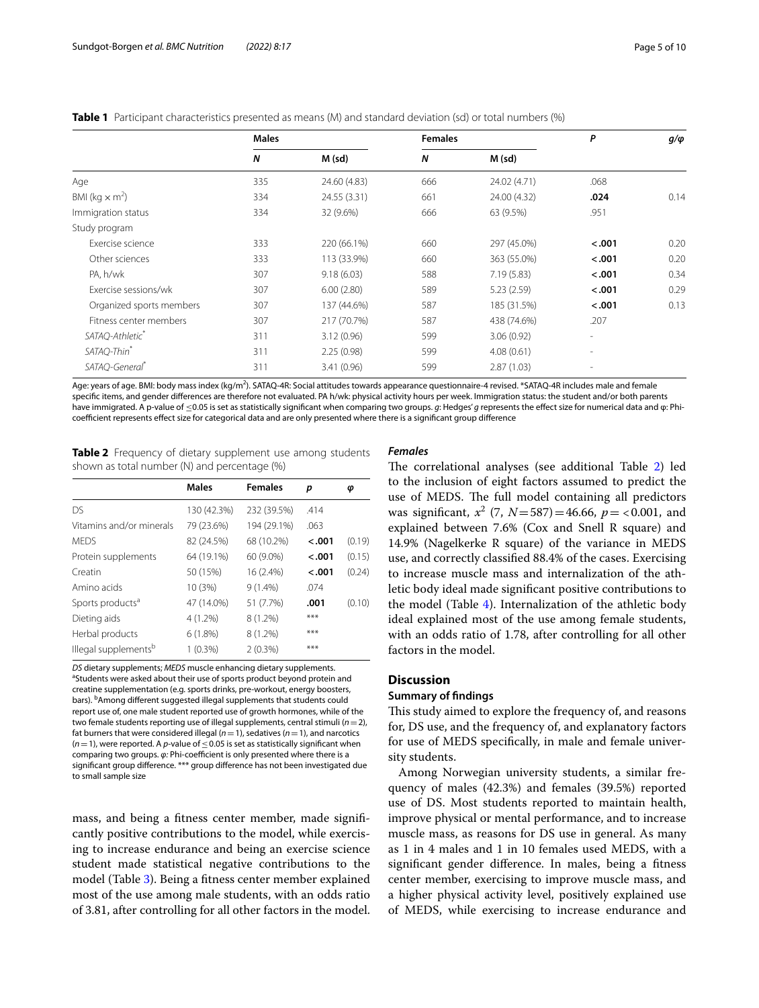<span id="page-4-0"></span>**Table 1** Participant characteristics presented as means (M) and standard deviation (sd) or total numbers (%)

|                            | <b>Males</b>     |              | <b>Females</b>   |              | P       | $g/\varphi$ |
|----------------------------|------------------|--------------|------------------|--------------|---------|-------------|
|                            | $\boldsymbol{N}$ | M (sd)       | $\boldsymbol{N}$ | M (sd)       |         |             |
| Age                        | 335              | 24.60 (4.83) | 666              | 24.02 (4.71) | .068    |             |
| BMI ( $kg \times m^2$ )    | 334              | 24.55 (3.31) | 661              | 24.00 (4.32) | .024    | 0.14        |
| Immigration status         | 334              | 32 (9.6%)    | 666              | 63 (9.5%)    | .951    |             |
| Study program              |                  |              |                  |              |         |             |
| Exercise science           | 333              | 220 (66.1%)  | 660              | 297 (45.0%)  | < .001  | 0.20        |
| Other sciences             | 333              | 113 (33.9%)  | 660              | 363 (55.0%)  | $-.001$ | 0.20        |
| PA, h/wk                   | 307              | 9.18(6.03)   | 588              | 7.19(5.83)   | < .001  | 0.34        |
| Exercise sessions/wk       | 307              | 6.00(2.80)   | 589              | 5.23(2.59)   | < .001  | 0.29        |
| Organized sports members   | 307              | 137 (44.6%)  | 587              | 185 (31.5%)  | < .001  | 0.13        |
| Fitness center members     | 307              | 217 (70.7%)  | 587              | 438 (74.6%)  | .207    |             |
| SATAQ-Athletic*            | 311              | 3.12(0.96)   | 599              | 3.06(0.92)   | -       |             |
| SATAQ-Thin*                | 311              | 2.25(0.98)   | 599              | 4.08(0.61)   | ٠       |             |
| SATAQ-General <sup>*</sup> | 311              | 3.41(0.96)   | 599              | 2.87(1.03)   | ۰       |             |

Age: years of age. BMI: body mass index (kg/m<sup>2</sup>). SATAQ-4R: Social attitudes towards appearance questionnaire-4 revised. \*SATAQ-4R includes male and female specifc items, and gender diferences are therefore not evaluated. PA h/wk: physical activity hours per week. Immigration status: the student and/or both parents have immigrated. A p-value of ≤0.05 is set as statistically signifcant when comparing two groups. *g*: Hedges' *g* represents the efect size for numerical data and φ: Phicoefficient represents effect size for categorical data and are only presented where there is a significant group difference

<span id="page-4-1"></span>**Table 2** Frequency of dietary supplement use among students shown as total number (N) and percentage (%)

|                                  | <b>Males</b> | <b>Females</b> | p       | φ      |
|----------------------------------|--------------|----------------|---------|--------|
| DS                               | 130 (42.3%)  | 232 (39.5%)    | .414    |        |
| Vitamins and/or minerals         | 79 (23.6%)   | 194 (29.1%)    | .063    |        |
| <b>MEDS</b>                      | 82 (24.5%)   | 68 (10.2%)     | $-.001$ | (0.19) |
| Protein supplements              | 64 (19.1%)   | 60 (9.0%)      | $-.001$ | (0.15) |
| Creatin                          | 50 (15%)     | 16 (2.4%)      | $-.001$ | (0.24) |
| Amino acids                      | 10 (3%)      | $9(1.4\%)$     | .074    |        |
| Sports products <sup>a</sup>     | 47 (14.0%)   | 51 (7.7%)      | .001    | (0.10) |
| Dieting aids                     | 4 (1.2%)     | $8(1.2\%)$     | ***     |        |
| Herbal products                  | 6(1.8%)      | 8 (1.2%)       | ***     |        |
| Illegal supplements <sup>b</sup> | $1(0.3\%)$   | $2(0.3\%)$     | ***     |        |

*DS* dietary supplements; *MEDS* muscle enhancing dietary supplements. a <sup>a</sup>Students were asked about their use of sports product beyond protein and creatine supplementation (e.g. sports drinks, pre-workout, energy boosters, bars). <sup>b</sup>Among different suggested illegal supplements that students could report use of, one male student reported use of growth hormones, while of the two female students reporting use of illegal supplements, central stimuli (*n*=2), fat burners that were considered illegal  $(n=1)$ , sedatives  $(n=1)$ , and narcotics  $(n=1)$ , were reported. A *p*-value of  $\leq$  0.05 is set as statistically significant when comparing two groups.  $φ$ : Phi-coefficient is only presented where there is a significant group difference. \*\*\* group difference has not been investigated due to small sample size

mass, and being a ftness center member, made signifcantly positive contributions to the model, while exercising to increase endurance and being an exercise science student made statistical negative contributions to the model (Table [3\)](#page-5-1). Being a ftness center member explained most of the use among male students, with an odds ratio of 3.81, after controlling for all other factors in the model.

#### *Females*

The correlational analyses (see additional Table [2](#page-8-17)) led to the inclusion of eight factors assumed to predict the use of MEDS. The full model containing all predictors was significant,  $x^2$  (7,  $N = 587$ ) = 46.66,  $p = <0.001$ , and explained between 7.6% (Cox and Snell R square) and 14.9% (Nagelkerke R square) of the variance in MEDS use, and correctly classifed 88.4% of the cases. Exercising to increase muscle mass and internalization of the athletic body ideal made signifcant positive contributions to the model (Table [4\)](#page-6-0). Internalization of the athletic body ideal explained most of the use among female students, with an odds ratio of 1.78, after controlling for all other factors in the model.

### **Discussion**

### **Summary of fndings**

This study aimed to explore the frequency of, and reasons for, DS use, and the frequency of, and explanatory factors for use of MEDS specifcally, in male and female university students.

Among Norwegian university students, a similar frequency of males (42.3%) and females (39.5%) reported use of DS. Most students reported to maintain health, improve physical or mental performance, and to increase muscle mass, as reasons for DS use in general. As many as 1 in 4 males and 1 in 10 females used MEDS, with a signifcant gender diference. In males, being a ftness center member, exercising to improve muscle mass, and a higher physical activity level, positively explained use of MEDS, while exercising to increase endurance and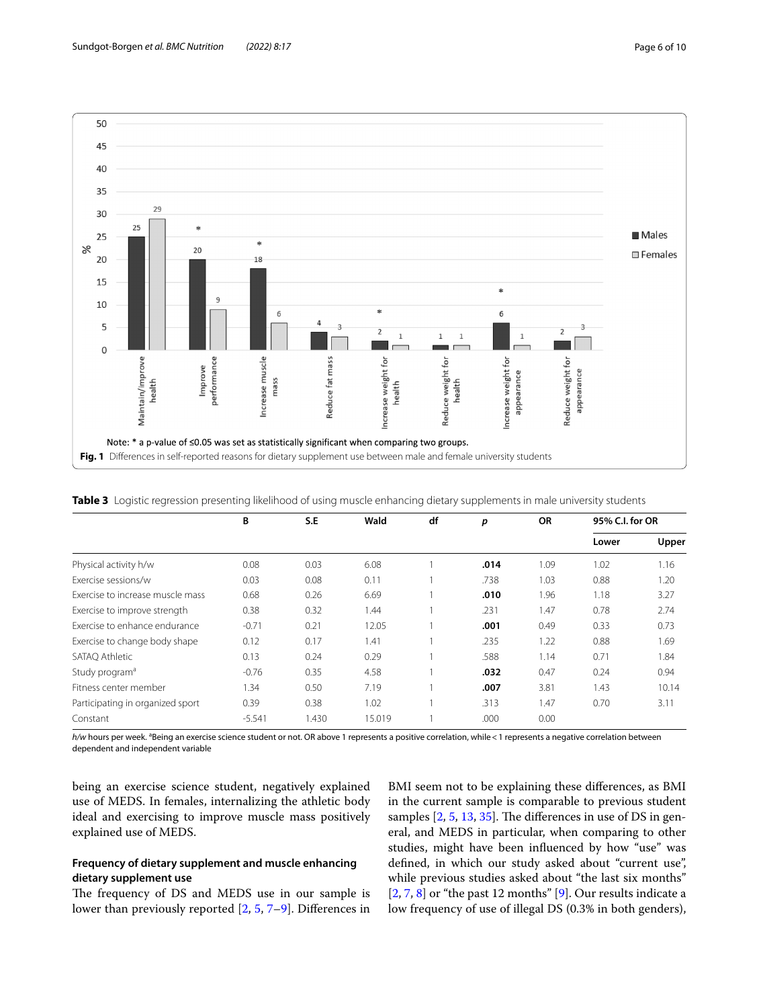

<span id="page-5-0"></span>

<span id="page-5-1"></span>**Table 3** Logistic regression presenting likelihood of using muscle enhancing dietary supplements in male university students

|                                  | B        | S.E   | Wald   | df | p    | <b>OR</b> | 95% C.I. for OR |       |
|----------------------------------|----------|-------|--------|----|------|-----------|-----------------|-------|
|                                  |          |       |        |    |      |           | Lower           | Upper |
| Physical activity h/w            | 0.08     | 0.03  | 6.08   |    | .014 | 1.09      | 1.02            | 1.16  |
| Exercise sessions/w              | 0.03     | 0.08  | 0.11   |    | .738 | 1.03      | 0.88            | 1.20  |
| Exercise to increase muscle mass | 0.68     | 0.26  | 6.69   |    | .010 | 1.96      | 1.18            | 3.27  |
| Exercise to improve strength     | 0.38     | 0.32  | 1.44   |    | .231 | 1.47      | 0.78            | 2.74  |
| Exercise to enhance endurance    | $-0.71$  | 0.21  | 12.05  |    | .001 | 0.49      | 0.33            | 0.73  |
| Exercise to change body shape    | 0.12     | 0.17  | 1.41   |    | .235 | 1.22      | 0.88            | 1.69  |
| SATAO Athletic                   | 0.13     | 0.24  | 0.29   |    | .588 | 1.14      | 0.71            | 1.84  |
| Study program <sup>a</sup>       | $-0.76$  | 0.35  | 4.58   |    | .032 | 0.47      | 0.24            | 0.94  |
| Fitness center member            | 1.34     | 0.50  | 7.19   |    | .007 | 3.81      | 1.43            | 10.14 |
| Participating in organized sport | 0.39     | 0.38  | 1.02   |    | .313 | 1.47      | 0.70            | 3.11  |
| Constant                         | $-5.541$ | 1.430 | 15.019 |    | .000 | 0.00      |                 |       |

h/w hours per week. <sup>a</sup>Being an exercise science student or not. OR above 1 represents a positive correlation, while<1 represents a negative correlation between dependent and independent variable

being an exercise science student, negatively explained use of MEDS. In females, internalizing the athletic body ideal and exercising to improve muscle mass positively explained use of MEDS.

### **Frequency of dietary supplement and muscle enhancing dietary supplement use**

The frequency of DS and MEDS use in our sample is lower than previously reported [[2,](#page-8-1) [5,](#page-8-3) [7](#page-8-14)[–9](#page-8-4)]. Diferences in

BMI seem not to be explaining these diferences, as BMI in the current sample is comparable to previous student samples  $[2, 5, 13, 35]$  $[2, 5, 13, 35]$  $[2, 5, 13, 35]$  $[2, 5, 13, 35]$  $[2, 5, 13, 35]$  $[2, 5, 13, 35]$  $[2, 5, 13, 35]$ . The differences in use of DS in general, and MEDS in particular, when comparing to other studies, might have been infuenced by how "use" was defned, in which our study asked about "current use", while previous studies asked about "the last six months"  $[2, 7, 8]$  $[2, 7, 8]$  $[2, 7, 8]$  $[2, 7, 8]$  $[2, 7, 8]$  or "the past 12 months"  $[9]$  $[9]$ . Our results indicate a low frequency of use of illegal DS (0.3% in both genders),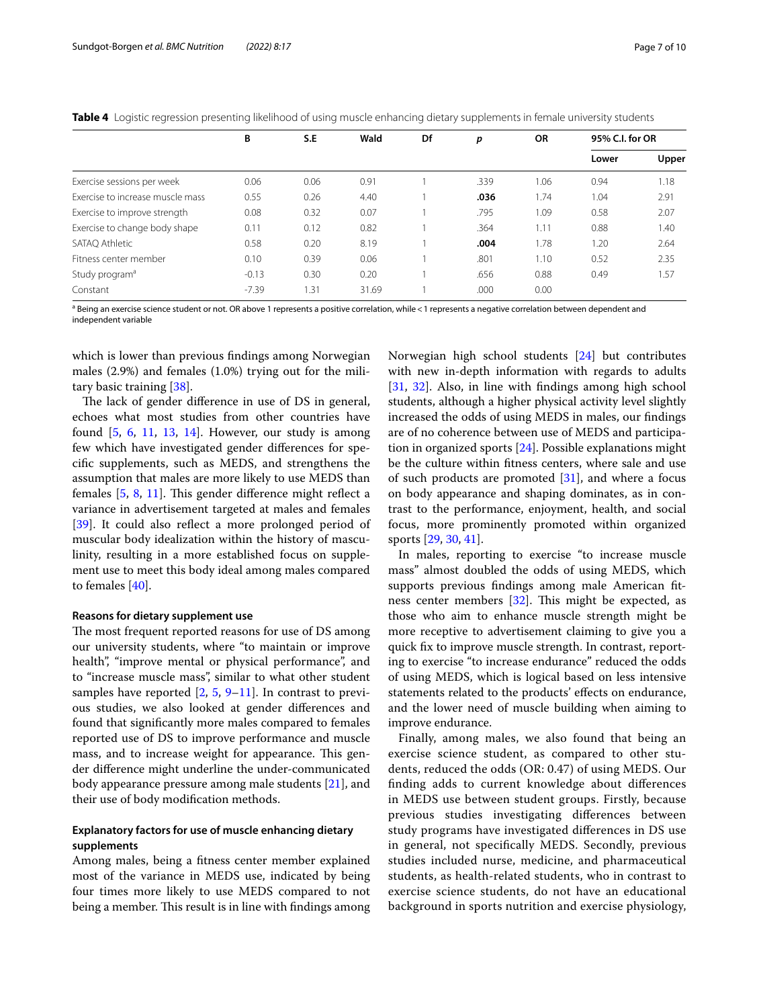|                                  | В       | S.E  | Wald  | Df | p    | <b>OR</b> | 95% C.I. for OR |       |
|----------------------------------|---------|------|-------|----|------|-----------|-----------------|-------|
|                                  |         |      |       |    |      |           | Lower           | Upper |
| Exercise sessions per week       | 0.06    | 0.06 | 0.91  |    | .339 | .06       | 0.94            | 1.18  |
| Exercise to increase muscle mass | 0.55    | 0.26 | 4.40  |    | .036 | .74       | 1.04            | 2.91  |
| Exercise to improve strength     | 0.08    | 0.32 | 0.07  |    | .795 | 1.09      | 0.58            | 2.07  |
| Exercise to change body shape    | 0.11    | 0.12 | 0.82  |    | .364 | 1.11      | 0.88            | 1.40  |
| SATAQ Athletic                   | 0.58    | 0.20 | 8.19  |    | .004 | 1.78      | 1.20            | 2.64  |
| Fitness center member            | 0.10    | 0.39 | 0.06  |    | .801 | 1.10      | 0.52            | 2.35  |
| Study program <sup>a</sup>       | $-0.13$ | 0.30 | 0.20  |    | .656 | 0.88      | 0.49            | 1.57  |
| Constant                         | $-7.39$ | 31.ء | 31.69 |    | .000 | 0.00      |                 |       |

<span id="page-6-0"></span>**Table 4** Logistic regression presenting likelihood of using muscle enhancing dietary supplements in female university students

<sup>a</sup> Being an exercise science student or not. OR above 1 represents a positive correlation, while < 1 represents a negative correlation between dependent and independent variable

which is lower than previous fndings among Norwegian males (2.9%) and females (1.0%) trying out for the military basic training [\[38\]](#page-9-18).

The lack of gender difference in use of DS in general, echoes what most studies from other countries have found  $[5, 6, 11, 13, 14]$  $[5, 6, 11, 13, 14]$  $[5, 6, 11, 13, 14]$  $[5, 6, 11, 13, 14]$  $[5, 6, 11, 13, 14]$  $[5, 6, 11, 13, 14]$  $[5, 6, 11, 13, 14]$  $[5, 6, 11, 13, 14]$  $[5, 6, 11, 13, 14]$  $[5, 6, 11, 13, 14]$ . However, our study is among few which have investigated gender diferences for specifc supplements, such as MEDS, and strengthens the assumption that males are more likely to use MEDS than females [\[5](#page-8-3), [8](#page-8-18), [11\]](#page-8-5). This gender difference might reflect a variance in advertisement targeted at males and females [[39\]](#page-9-19). It could also reflect a more prolonged period of muscular body idealization within the history of masculinity, resulting in a more established focus on supplement use to meet this body ideal among males compared to females [[40\]](#page-9-20).

### **Reasons for dietary supplement use**

The most frequent reported reasons for use of DS among our university students, where "to maintain or improve health", "improve mental or physical performance", and to "increase muscle mass", similar to what other student samples have reported  $[2, 5, 9-11]$  $[2, 5, 9-11]$  $[2, 5, 9-11]$  $[2, 5, 9-11]$  $[2, 5, 9-11]$ . In contrast to previous studies, we also looked at gender diferences and found that signifcantly more males compared to females reported use of DS to improve performance and muscle mass, and to increase weight for appearance. This gender diference might underline the under-communicated body appearance pressure among male students [[21\]](#page-9-2), and their use of body modifcation methods.

### **Explanatory factors for use of muscle enhancing dietary supplements**

Among males, being a ftness center member explained most of the variance in MEDS use, indicated by being four times more likely to use MEDS compared to not being a member. This result is in line with findings among Norwegian high school students [\[24](#page-9-5)] but contributes with new in-depth information with regards to adults [[31,](#page-9-11) [32\]](#page-9-12). Also, in line with fndings among high school students, although a higher physical activity level slightly increased the odds of using MEDS in males, our fndings are of no coherence between use of MEDS and participation in organized sports [[24](#page-9-5)]. Possible explanations might be the culture within ftness centers, where sale and use of such products are promoted [[31](#page-9-11)], and where a focus on body appearance and shaping dominates, as in contrast to the performance, enjoyment, health, and social focus, more prominently promoted within organized sports [[29](#page-9-9), [30,](#page-9-10) [41](#page-9-21)].

In males, reporting to exercise "to increase muscle mass" almost doubled the odds of using MEDS, which supports previous fndings among male American ft-ness center members [[32](#page-9-12)]. This might be expected, as those who aim to enhance muscle strength might be more receptive to advertisement claiming to give you a quick fx to improve muscle strength. In contrast, reporting to exercise "to increase endurance" reduced the odds of using MEDS, which is logical based on less intensive statements related to the products' efects on endurance, and the lower need of muscle building when aiming to improve endurance.

Finally, among males, we also found that being an exercise science student, as compared to other students, reduced the odds (OR: 0.47) of using MEDS. Our fnding adds to current knowledge about diferences in MEDS use between student groups. Firstly, because previous studies investigating diferences between study programs have investigated diferences in DS use in general, not specifcally MEDS. Secondly, previous studies included nurse, medicine, and pharmaceutical students, as health-related students, who in contrast to exercise science students, do not have an educational background in sports nutrition and exercise physiology,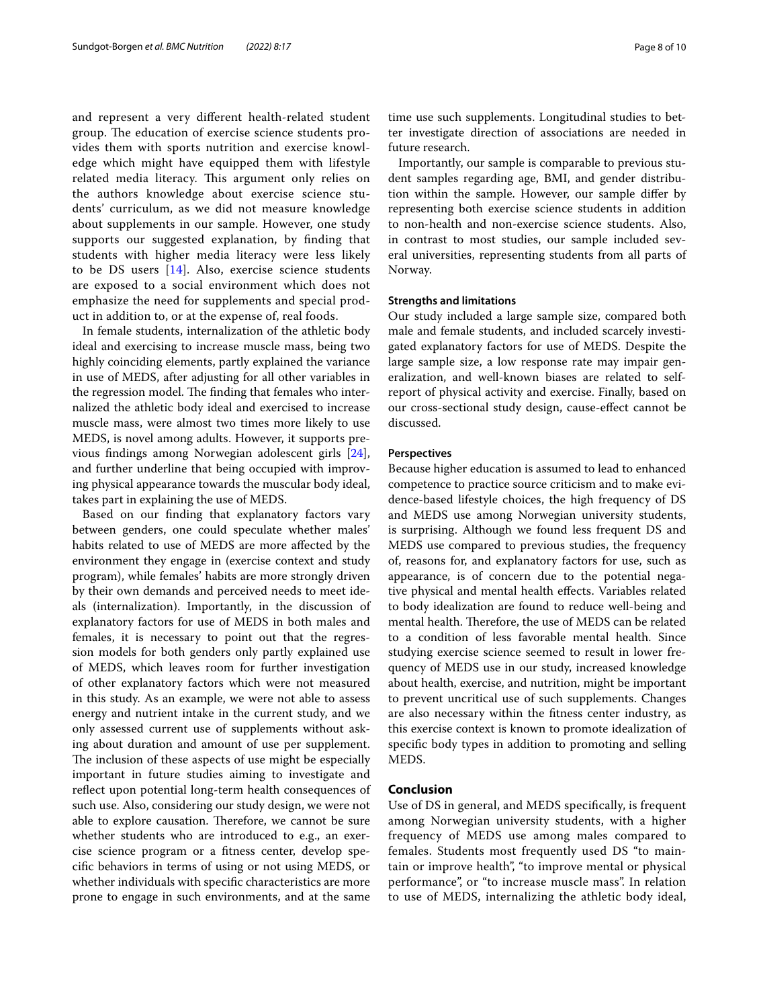and represent a very diferent health-related student group. The education of exercise science students provides them with sports nutrition and exercise knowledge which might have equipped them with lifestyle related media literacy. This argument only relies on the authors knowledge about exercise science students' curriculum, as we did not measure knowledge about supplements in our sample. However, one study supports our suggested explanation, by fnding that students with higher media literacy were less likely to be DS users [\[14](#page-8-9)]. Also, exercise science students are exposed to a social environment which does not emphasize the need for supplements and special product in addition to, or at the expense of, real foods.

In female students, internalization of the athletic body ideal and exercising to increase muscle mass, being two highly coinciding elements, partly explained the variance in use of MEDS, after adjusting for all other variables in the regression model. The finding that females who internalized the athletic body ideal and exercised to increase muscle mass, were almost two times more likely to use MEDS, is novel among adults. However, it supports previous fndings among Norwegian adolescent girls [\[24](#page-9-5)], and further underline that being occupied with improving physical appearance towards the muscular body ideal, takes part in explaining the use of MEDS.

Based on our fnding that explanatory factors vary between genders, one could speculate whether males' habits related to use of MEDS are more afected by the environment they engage in (exercise context and study program), while females' habits are more strongly driven by their own demands and perceived needs to meet ideals (internalization). Importantly, in the discussion of explanatory factors for use of MEDS in both males and females, it is necessary to point out that the regression models for both genders only partly explained use of MEDS, which leaves room for further investigation of other explanatory factors which were not measured in this study. As an example, we were not able to assess energy and nutrient intake in the current study, and we only assessed current use of supplements without asking about duration and amount of use per supplement. The inclusion of these aspects of use might be especially important in future studies aiming to investigate and reflect upon potential long-term health consequences of such use. Also, considering our study design, we were not able to explore causation. Therefore, we cannot be sure whether students who are introduced to e.g., an exercise science program or a ftness center, develop specifc behaviors in terms of using or not using MEDS, or whether individuals with specifc characteristics are more prone to engage in such environments, and at the same

time use such supplements. Longitudinal studies to better investigate direction of associations are needed in future research.

Importantly, our sample is comparable to previous student samples regarding age, BMI, and gender distribution within the sample. However, our sample difer by representing both exercise science students in addition to non-health and non-exercise science students. Also, in contrast to most studies, our sample included several universities, representing students from all parts of Norway.

#### **Strengths and limitations**

Our study included a large sample size, compared both male and female students, and included scarcely investigated explanatory factors for use of MEDS. Despite the large sample size, a low response rate may impair generalization, and well-known biases are related to selfreport of physical activity and exercise. Finally, based on our cross-sectional study design, cause-efect cannot be discussed.

### **Perspectives**

Because higher education is assumed to lead to enhanced competence to practice source criticism and to make evidence-based lifestyle choices, the high frequency of DS and MEDS use among Norwegian university students, is surprising. Although we found less frequent DS and MEDS use compared to previous studies, the frequency of, reasons for, and explanatory factors for use, such as appearance, is of concern due to the potential negative physical and mental health efects. Variables related to body idealization are found to reduce well-being and mental health. Therefore, the use of MEDS can be related to a condition of less favorable mental health. Since studying exercise science seemed to result in lower frequency of MEDS use in our study, increased knowledge about health, exercise, and nutrition, might be important to prevent uncritical use of such supplements. Changes are also necessary within the ftness center industry, as this exercise context is known to promote idealization of specifc body types in addition to promoting and selling MEDS.

### **Conclusion**

Use of DS in general, and MEDS specifcally, is frequent among Norwegian university students, with a higher frequency of MEDS use among males compared to females. Students most frequently used DS "to maintain or improve health", "to improve mental or physical performance", or "to increase muscle mass". In relation to use of MEDS, internalizing the athletic body ideal,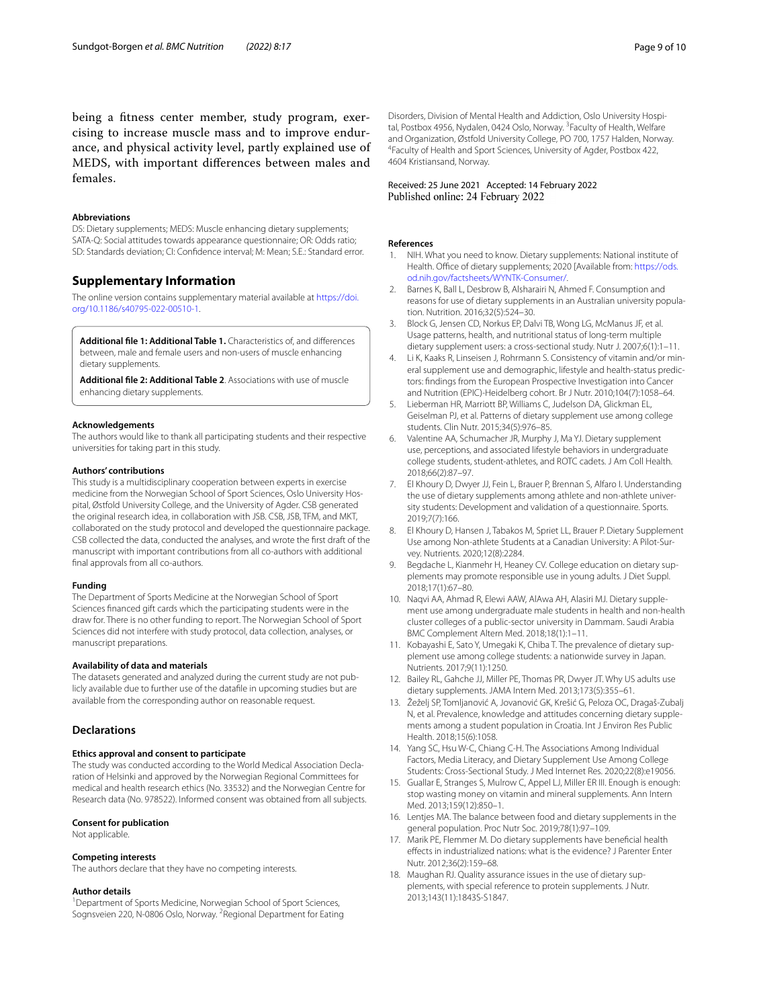being a ftness center member, study program, exercising to increase muscle mass and to improve endurance, and physical activity level, partly explained use of MEDS, with important diferences between males and females.

#### **Abbreviations**

DS: Dietary supplements; MEDS: Muscle enhancing dietary supplements; SATA-Q: Social attitudes towards appearance questionnaire; OR: Odds ratio; SD: Standards deviation; CI: Confdence interval; M: Mean; S.E.: Standard error.

### **Supplementary Information**

The online version contains supplementary material available at [https://doi.](https://doi.org/10.1186/s40795-022-00510-1) [org/10.1186/s40795-022-00510-1](https://doi.org/10.1186/s40795-022-00510-1).

<span id="page-8-16"></span>**Additional fle 1: Additional Table 1.** Characteristics of, and diferences between, male and female users and non-users of muscle enhancing dietary supplements.

<span id="page-8-17"></span>**Additional fle 2: Additional Table 2**. Associations with use of muscle enhancing dietary supplements.

#### **Acknowledgements**

The authors would like to thank all participating students and their respective universities for taking part in this study.

#### **Authors' contributions**

This study is a multidisciplinary cooperation between experts in exercise medicine from the Norwegian School of Sport Sciences, Oslo University Hospital, Østfold University College, and the University of Agder. CSB generated the original research idea, in collaboration with JSB. CSB, JSB, TFM, and MKT, collaborated on the study protocol and developed the questionnaire package. CSB collected the data, conducted the analyses, and wrote the frst draft of the manuscript with important contributions from all co-authors with additional fnal approvals from all co-authors.

#### **Funding**

The Department of Sports Medicine at the Norwegian School of Sport Sciences fnanced gift cards which the participating students were in the draw for. There is no other funding to report. The Norwegian School of Sport Sciences did not interfere with study protocol, data collection, analyses, or manuscript preparations.

#### **Availability of data and materials**

The datasets generated and analyzed during the current study are not publicly available due to further use of the datafle in upcoming studies but are available from the corresponding author on reasonable request.

#### **Declarations**

#### **Ethics approval and consent to participate**

The study was conducted according to the World Medical Association Declaration of Helsinki and approved by the Norwegian Regional Committees for medical and health research ethics (No. 33532) and the Norwegian Centre for Research data (No. 978522). Informed consent was obtained from all subjects.

#### **Consent for publication**

Not applicable.

#### **Competing interests**

The authors declare that they have no competing interests.

#### **Author details**

<sup>1</sup> Department of Sports Medicine, Norwegian School of Sport Sciences, Sognsveien 220, N-0806 Oslo, Norway. <sup>2</sup> Regional Department for Eating Disorders, Division of Mental Health and Addiction, Oslo University Hospital, Postbox 4956, Nydalen, 0424 Oslo, Norway. <sup>3</sup> Faculty of Health, Welfare and Organization, Østfold University College, PO 700, 1757 Halden, Norway. 4 Faculty of Health and Sport Sciences, University of Agder, Postbox 422, 4604 Kristiansand, Norway.

#### Received: 25 June 2021 Accepted: 14 February 2022 Published online: 24 February 2022

#### **References**

- <span id="page-8-0"></span>NIH. What you need to know. Dietary supplements: National institute of Health. Office of dietary supplements; 2020 [Available from: [https://ods.](https://ods.od.nih.gov/factsheets/WYNTK-Consumer/) [od.nih.gov/factsheets/WYNTK-Consumer/.](https://ods.od.nih.gov/factsheets/WYNTK-Consumer/)
- <span id="page-8-1"></span>2. Barnes K, Ball L, Desbrow B, Alsharairi N, Ahmed F. Consumption and reasons for use of dietary supplements in an Australian university population. Nutrition. 2016;32(5):524–30.
- 3. Block G, Jensen CD, Norkus EP, Dalvi TB, Wong LG, McManus JF, et al. Usage patterns, health, and nutritional status of long-term multiple dietary supplement users: a cross-sectional study. Nutr J. 2007;6(1):1–11.
- <span id="page-8-2"></span>4. Li K, Kaaks R, Linseisen J, Rohrmann S. Consistency of vitamin and/or mineral supplement use and demographic, lifestyle and health-status predictors: fndings from the European Prospective Investigation into Cancer and Nutrition (EPIC)-Heidelberg cohort. Br J Nutr. 2010;104(7):1058–64.
- <span id="page-8-3"></span>5. Lieberman HR, Marriott BP, Williams C, Judelson DA, Glickman EL, Geiselman PJ, et al. Patterns of dietary supplement use among college students. Clin Nutr. 2015;34(5):976–85.
- <span id="page-8-6"></span>6. Valentine AA, Schumacher JR, Murphy J, Ma YJ. Dietary supplement use, perceptions, and associated lifestyle behaviors in undergraduate college students, student-athletes, and ROTC cadets. J Am Coll Health. 2018;66(2):87–97.
- <span id="page-8-14"></span>7. El Khoury D, Dwyer JJ, Fein L, Brauer P, Brennan S, Alfaro I. Understanding the use of dietary supplements among athlete and non-athlete university students: Development and validation of a questionnaire. Sports. 2019;7(7):166.
- <span id="page-8-18"></span>8. El Khoury D, Hansen J, Tabakos M, Spriet LL, Brauer P. Dietary Supplement Use among Non-athlete Students at a Canadian University: A Pilot-Sur‑ vey. Nutrients. 2020;12(8):2284.
- <span id="page-8-4"></span>Begdache L, Kianmehr H, Heaney CV. College education on dietary supplements may promote responsible use in young adults. J Diet Suppl. 2018;17(1):67–80.
- <span id="page-8-15"></span>10. Nagvi AA, Ahmad R, Elewi AAW, AlAwa AH, Alasiri MJ. Dietary supplement use among undergraduate male students in health and non-health cluster colleges of a public-sector university in Dammam. Saudi Arabia BMC Complement Altern Med. 2018;18(1):1–11.
- <span id="page-8-5"></span>11. Kobayashi E, Sato Y, Umegaki K, Chiba T. The prevalence of dietary supplement use among college students: a nationwide survey in Japan. Nutrients. 2017;9(11):1250.
- <span id="page-8-7"></span>12. Bailey RL, Gahche JJ, Miller PE, Thomas PR, Dwyer JT. Why US adults use dietary supplements. JAMA Intern Med. 2013;173(5):355–61.
- <span id="page-8-8"></span>13. Žeželj SP, Tomljanović A, Jovanović GK, Krešić G, Peloza OC, Dragaš-Zubalj N, et al. Prevalence, knowledge and attitudes concerning dietary supplements among a student population in Croatia. Int J Environ Res Public Health. 2018;15(6):1058.
- <span id="page-8-9"></span>14. Yang SC, Hsu W-C, Chiang C-H. The Associations Among Individual Factors, Media Literacy, and Dietary Supplement Use Among College Students: Cross-Sectional Study. J Med Internet Res. 2020;22(8):e19056.
- <span id="page-8-10"></span>15. Guallar E, Stranges S, Mulrow C, Appel LJ, Miller ER III. Enough is enough: stop wasting money on vitamin and mineral supplements. Ann Intern Med. 2013;159(12):850–1.
- <span id="page-8-11"></span>16. Lentjes MA. The balance between food and dietary supplements in the general population. Proc Nutr Soc. 2019;78(1):97–109.
- <span id="page-8-12"></span>17. Marik PE, Flemmer M. Do dietary supplements have benefcial health efects in industrialized nations: what is the evidence? J Parenter Enter Nutr. 2012;36(2):159–68.
- <span id="page-8-13"></span>18. Maughan RJ. Quality assurance issues in the use of dietary supplements, with special reference to protein supplements. J Nutr. 2013;143(11):1843S-S1847.